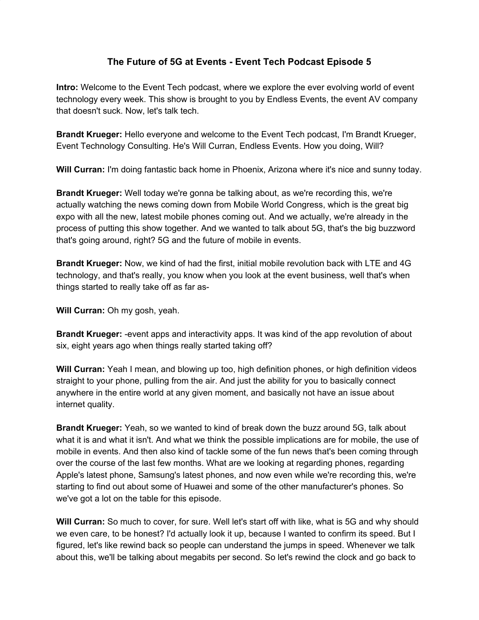## **The Future of 5G at Events - Event Tech Podcast Episode 5**

**Intro:** Welcome to the Event Tech podcast, where we explore the ever evolving world of event technology every week. This show is brought to you by Endless Events, the event AV company that doesn't suck. Now, let's talk tech.

**Brandt Krueger:** Hello everyone and welcome to the Event Tech podcast, I'm Brandt Krueger, Event Technology Consulting. He's Will Curran, Endless Events. How you doing, Will?

**Will Curran:** I'm doing fantastic back home in Phoenix, Arizona where it's nice and sunny today.

**Brandt Krueger:** Well today we're gonna be talking about, as we're recording this, we're actually watching the news coming down from Mobile World Congress, which is the great big expo with all the new, latest mobile phones coming out. And we actually, we're already in the process of putting this show together. And we wanted to talk about 5G, that's the big buzzword that's going around, right? 5G and the future of mobile in events.

**Brandt Krueger:** Now, we kind of had the first, initial mobile revolution back with LTE and 4G technology, and that's really, you know when you look at the event business, well that's when things started to really take off as far as-

**Will Curran:** Oh my gosh, yeah.

**Brandt Krueger:** -event apps and interactivity apps. It was kind of the app revolution of about six, eight years ago when things really started taking off?

**Will Curran:** Yeah I mean, and blowing up too, high definition phones, or high definition videos straight to your phone, pulling from the air. And just the ability for you to basically connect anywhere in the entire world at any given moment, and basically not have an issue about internet quality.

**Brandt Krueger:** Yeah, so we wanted to kind of break down the buzz around 5G, talk about what it is and what it isn't. And what we think the possible implications are for mobile, the use of mobile in events. And then also kind of tackle some of the fun news that's been coming through over the course of the last few months. What are we looking at regarding phones, regarding Apple's latest phone, Samsung's latest phones, and now even while we're recording this, we're starting to find out about some of Huawei and some of the other manufacturer's phones. So we've got a lot on the table for this episode.

**Will Curran:** So much to cover, for sure. Well let's start off with like, what is 5G and why should we even care, to be honest? I'd actually look it up, because I wanted to confirm its speed. But I figured, let's like rewind back so people can understand the jumps in speed. Whenever we talk about this, we'll be talking about megabits per second. So let's rewind the clock and go back to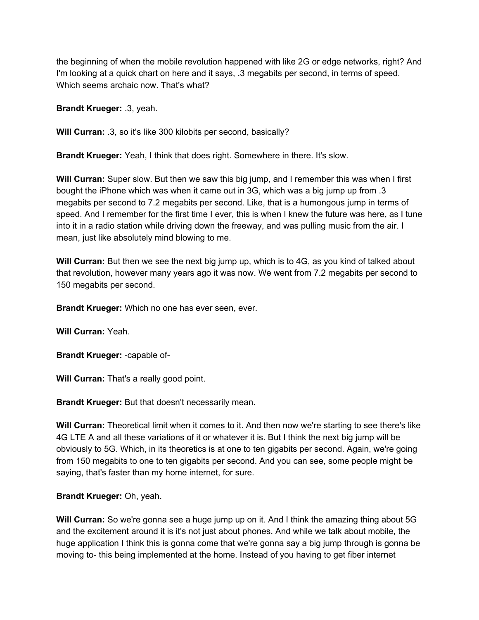the beginning of when the mobile revolution happened with like 2G or edge networks, right? And I'm looking at a quick chart on here and it says, .3 megabits per second, in terms of speed. Which seems archaic now. That's what?

**Brandt Krueger:** .3, yeah.

**Will Curran:** .3, so it's like 300 kilobits per second, basically?

**Brandt Krueger:** Yeah, I think that does right. Somewhere in there. It's slow.

**Will Curran:** Super slow. But then we saw this big jump, and I remember this was when I first bought the iPhone which was when it came out in 3G, which was a big jump up from .3 megabits per second to 7.2 megabits per second. Like, that is a humongous jump in terms of speed. And I remember for the first time I ever, this is when I knew the future was here, as I tune into it in a radio station while driving down the freeway, and was pulling music from the air. I mean, just like absolutely mind blowing to me.

**Will Curran:** But then we see the next big jump up, which is to 4G, as you kind of talked about that revolution, however many years ago it was now. We went from 7.2 megabits per second to 150 megabits per second.

**Brandt Krueger:** Which no one has ever seen, ever.

**Will Curran:** Yeah.

**Brandt Krueger:** -capable of-

**Will Curran:** That's a really good point.

**Brandt Krueger:** But that doesn't necessarily mean.

**Will Curran:** Theoretical limit when it comes to it. And then now we're starting to see there's like 4G LTE A and all these variations of it or whatever it is. But I think the next big jump will be obviously to 5G. Which, in its theoretics is at one to ten gigabits per second. Again, we're going from 150 megabits to one to ten gigabits per second. And you can see, some people might be saying, that's faster than my home internet, for sure.

## **Brandt Krueger:** Oh, yeah.

**Will Curran:** So we're gonna see a huge jump up on it. And I think the amazing thing about 5G and the excitement around it is it's not just about phones. And while we talk about mobile, the huge application I think this is gonna come that we're gonna say a big jump through is gonna be moving to- this being implemented at the home. Instead of you having to get fiber internet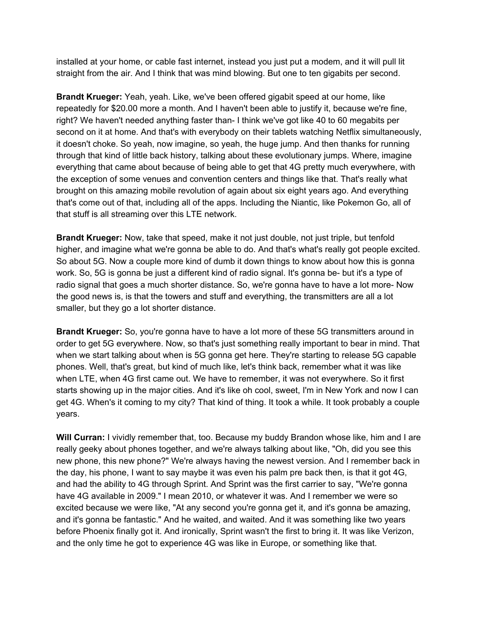installed at your home, or cable fast internet, instead you just put a modem, and it will pull lit straight from the air. And I think that was mind blowing. But one to ten gigabits per second.

**Brandt Krueger:** Yeah, yeah. Like, we've been offered gigabit speed at our home, like repeatedly for \$20.00 more a month. And I haven't been able to justify it, because we're fine, right? We haven't needed anything faster than- I think we've got like 40 to 60 megabits per second on it at home. And that's with everybody on their tablets watching Netflix simultaneously, it doesn't choke. So yeah, now imagine, so yeah, the huge jump. And then thanks for running through that kind of little back history, talking about these evolutionary jumps. Where, imagine everything that came about because of being able to get that 4G pretty much everywhere, with the exception of some venues and convention centers and things like that. That's really what brought on this amazing mobile revolution of again about six eight years ago. And everything that's come out of that, including all of the apps. Including the Niantic, like Pokemon Go, all of that stuff is all streaming over this LTE network.

**Brandt Krueger:** Now, take that speed, make it not just double, not just triple, but tenfold higher, and imagine what we're gonna be able to do. And that's what's really got people excited. So about 5G. Now a couple more kind of dumb it down things to know about how this is gonna work. So, 5G is gonna be just a different kind of radio signal. It's gonna be- but it's a type of radio signal that goes a much shorter distance. So, we're gonna have to have a lot more- Now the good news is, is that the towers and stuff and everything, the transmitters are all a lot smaller, but they go a lot shorter distance.

**Brandt Krueger:** So, you're gonna have to have a lot more of these 5G transmitters around in order to get 5G everywhere. Now, so that's just something really important to bear in mind. That when we start talking about when is 5G gonna get here. They're starting to release 5G capable phones. Well, that's great, but kind of much like, let's think back, remember what it was like when LTE, when 4G first came out. We have to remember, it was not everywhere. So it first starts showing up in the major cities. And it's like oh cool, sweet, I'm in New York and now I can get 4G. When's it coming to my city? That kind of thing. It took a while. It took probably a couple years.

**Will Curran:** I vividly remember that, too. Because my buddy Brandon whose like, him and I are really geeky about phones together, and we're always talking about like, "Oh, did you see this new phone, this new phone?" We're always having the newest version. And I remember back in the day, his phone, I want to say maybe it was even his palm pre back then, is that it got 4G, and had the ability to 4G through Sprint. And Sprint was the first carrier to say, "We're gonna have 4G available in 2009." I mean 2010, or whatever it was. And I remember we were so excited because we were like, "At any second you're gonna get it, and it's gonna be amazing, and it's gonna be fantastic." And he waited, and waited. And it was something like two years before Phoenix finally got it. And ironically, Sprint wasn't the first to bring it. It was like Verizon, and the only time he got to experience 4G was like in Europe, or something like that.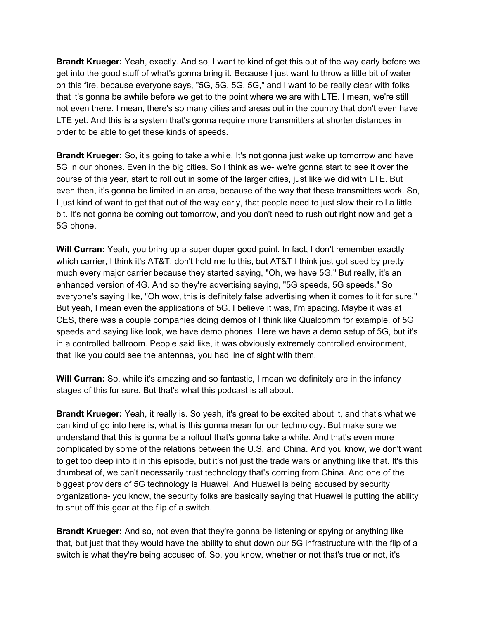**Brandt Krueger:** Yeah, exactly. And so, I want to kind of get this out of the way early before we get into the good stuff of what's gonna bring it. Because I just want to throw a little bit of water on this fire, because everyone says, "5G, 5G, 5G, 5G," and I want to be really clear with folks that it's gonna be awhile before we get to the point where we are with LTE. I mean, we're still not even there. I mean, there's so many cities and areas out in the country that don't even have LTE yet. And this is a system that's gonna require more transmitters at shorter distances in order to be able to get these kinds of speeds.

**Brandt Krueger:** So, it's going to take a while. It's not gonna just wake up tomorrow and have 5G in our phones. Even in the big cities. So I think as we- we're gonna start to see it over the course of this year, start to roll out in some of the larger cities, just like we did with LTE. But even then, it's gonna be limited in an area, because of the way that these transmitters work. So, I just kind of want to get that out of the way early, that people need to just slow their roll a little bit. It's not gonna be coming out tomorrow, and you don't need to rush out right now and get a 5G phone.

**Will Curran:** Yeah, you bring up a super duper good point. In fact, I don't remember exactly which carrier, I think it's AT&T, don't hold me to this, but AT&T I think just got sued by pretty much every major carrier because they started saying, "Oh, we have 5G." But really, it's an enhanced version of 4G. And so they're advertising saying, "5G speeds, 5G speeds." So everyone's saying like, "Oh wow, this is definitely false advertising when it comes to it for sure." But yeah, I mean even the applications of 5G. I believe it was, I'm spacing. Maybe it was at CES, there was a couple companies doing demos of I think like Qualcomm for example, of 5G speeds and saying like look, we have demo phones. Here we have a demo setup of 5G, but it's in a controlled ballroom. People said like, it was obviously extremely controlled environment, that like you could see the antennas, you had line of sight with them.

**Will Curran:** So, while it's amazing and so fantastic, I mean we definitely are in the infancy stages of this for sure. But that's what this podcast is all about.

**Brandt Krueger:** Yeah, it really is. So yeah, it's great to be excited about it, and that's what we can kind of go into here is, what is this gonna mean for our technology. But make sure we understand that this is gonna be a rollout that's gonna take a while. And that's even more complicated by some of the relations between the U.S. and China. And you know, we don't want to get too deep into it in this episode, but it's not just the trade wars or anything like that. It's this drumbeat of, we can't necessarily trust technology that's coming from China. And one of the biggest providers of 5G technology is Huawei. And Huawei is being accused by security organizations- you know, the security folks are basically saying that Huawei is putting the ability to shut off this gear at the flip of a switch.

**Brandt Krueger:** And so, not even that they're gonna be listening or spying or anything like that, but just that they would have the ability to shut down our 5G infrastructure with the flip of a switch is what they're being accused of. So, you know, whether or not that's true or not, it's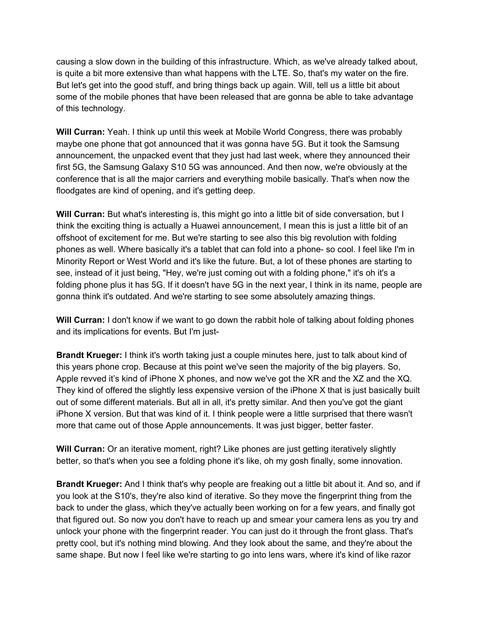causing a slow down in the building of this infrastructure. Which, as we've already talked about, is quite a bit more extensive than what happens with the LTE. So, that's my water on the fire. But let's get into the good stuff, and bring things back up again. Will, tell us a little bit about some of the mobile phones that have been released that are gonna be able to take advantage of this technology.

**Will Curran:** Yeah. I think up until this week at Mobile World Congress, there was probably maybe one phone that got announced that it was gonna have 5G. But it took the Samsung announcement, the unpacked event that they just had last week, where they announced their first 5G, the Samsung Galaxy S10 5G was announced. And then now, we're obviously at the conference that is all the major carriers and everything mobile basically. That's when now the floodgates are kind of opening, and it's getting deep.

**Will Curran:** But what's interesting is, this might go into a little bit of side conversation, but I think the exciting thing is actually a Huawei announcement, I mean this is just a little bit of an offshoot of excitement for me. But we're starting to see also this big revolution with folding phones as well. Where basically it's a tablet that can fold into a phone- so cool. I feel like I'm in Minority Report or West World and it's like the future. But, a lot of these phones are starting to see, instead of it just being, "Hey, we're just coming out with a folding phone," it's oh it's a folding phone plus it has 5G. If it doesn't have 5G in the next year, I think in its name, people are gonna think it's outdated. And we're starting to see some absolutely amazing things.

**Will Curran:** I don't know if we want to go down the rabbit hole of talking about folding phones and its implications for events. But I'm just-

**Brandt Krueger:** I think it's worth taking just a couple minutes here, just to talk about kind of this years phone crop. Because at this point we've seen the majority of the big players. So, Apple revved it's kind of iPhone X phones, and now we've got the XR and the XZ and the XQ. They kind of offered the slightly less expensive version of the iPhone X that is just basically built out of some different materials. But all in all, it's pretty similar. And then you've got the giant iPhone X version. But that was kind of it. I think people were a little surprised that there wasn't more that came out of those Apple announcements. It was just bigger, better faster.

**Will Curran:** Or an iterative moment, right? Like phones are just getting iteratively slightly better, so that's when you see a folding phone it's like, oh my gosh finally, some innovation.

**Brandt Krueger:** And I think that's why people are freaking out a little bit about it. And so, and if you look at the S10's, they're also kind of iterative. So they move the fingerprint thing from the back to under the glass, which they've actually been working on for a few years, and finally got that figured out. So now you don't have to reach up and smear your camera lens as you try and unlock your phone with the fingerprint reader. You can just do it through the front glass. That's pretty cool, but it's nothing mind blowing. And they look about the same, and they're about the same shape. But now I feel like we're starting to go into lens wars, where it's kind of like razor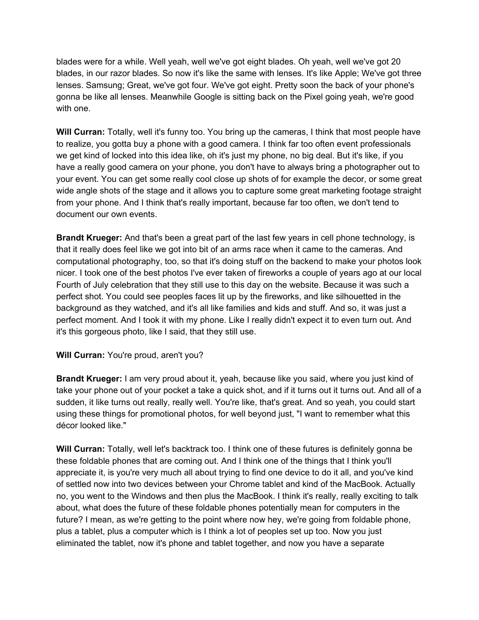blades were for a while. Well yeah, well we've got eight blades. Oh yeah, well we've got 20 blades, in our razor blades. So now it's like the same with lenses. It's like Apple; We've got three lenses. Samsung; Great, we've got four. We've got eight. Pretty soon the back of your phone's gonna be like all lenses. Meanwhile Google is sitting back on the Pixel going yeah, we're good with one.

**Will Curran:** Totally, well it's funny too. You bring up the cameras, I think that most people have to realize, you gotta buy a phone with a good camera. I think far too often event professionals we get kind of locked into this idea like, oh it's just my phone, no big deal. But it's like, if you have a really good camera on your phone, you don't have to always bring a photographer out to your event. You can get some really cool close up shots of for example the decor, or some great wide angle shots of the stage and it allows you to capture some great marketing footage straight from your phone. And I think that's really important, because far too often, we don't tend to document our own events.

**Brandt Krueger:** And that's been a great part of the last few years in cell phone technology, is that it really does feel like we got into bit of an arms race when it came to the cameras. And computational photography, too, so that it's doing stuff on the backend to make your photos look nicer. I took one of the best photos I've ever taken of fireworks a couple of years ago at our local Fourth of July celebration that they still use to this day on the website. Because it was such a perfect shot. You could see peoples faces lit up by the fireworks, and like silhouetted in the background as they watched, and it's all like families and kids and stuff. And so, it was just a perfect moment. And I took it with my phone. Like I really didn't expect it to even turn out. And it's this gorgeous photo, like I said, that they still use.

## **Will Curran:** You're proud, aren't you?

**Brandt Krueger:** I am very proud about it, yeah, because like you said, where you just kind of take your phone out of your pocket a take a quick shot, and if it turns out it turns out. And all of a sudden, it like turns out really, really well. You're like, that's great. And so yeah, you could start using these things for promotional photos, for well beyond just, "I want to remember what this décor looked like."

**Will Curran:** Totally, well let's backtrack too. I think one of these futures is definitely gonna be these foldable phones that are coming out. And I think one of the things that I think you'll appreciate it, is you're very much all about trying to find one device to do it all, and you've kind of settled now into two devices between your Chrome tablet and kind of the MacBook. Actually no, you went to the Windows and then plus the MacBook. I think it's really, really exciting to talk about, what does the future of these foldable phones potentially mean for computers in the future? I mean, as we're getting to the point where now hey, we're going from foldable phone, plus a tablet, plus a computer which is I think a lot of peoples set up too. Now you just eliminated the tablet, now it's phone and tablet together, and now you have a separate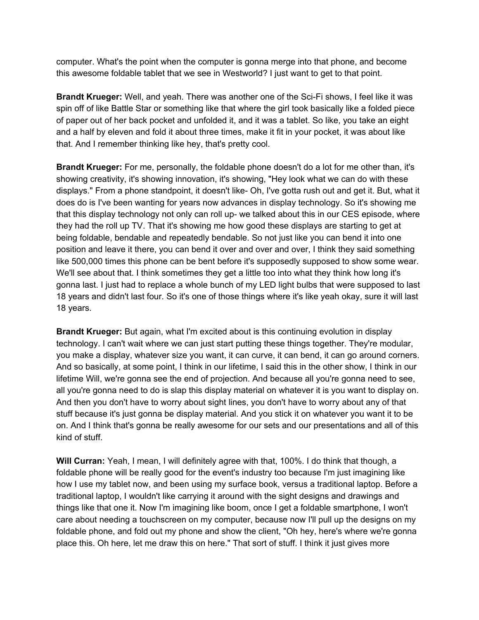computer. What's the point when the computer is gonna merge into that phone, and become this awesome foldable tablet that we see in Westworld? I just want to get to that point.

**Brandt Krueger:** Well, and yeah. There was another one of the Sci-Fi shows, I feel like it was spin off of like Battle Star or something like that where the girl took basically like a folded piece of paper out of her back pocket and unfolded it, and it was a tablet. So like, you take an eight and a half by eleven and fold it about three times, make it fit in your pocket, it was about like that. And I remember thinking like hey, that's pretty cool.

**Brandt Krueger:** For me, personally, the foldable phone doesn't do a lot for me other than, it's showing creativity, it's showing innovation, it's showing, "Hey look what we can do with these displays." From a phone standpoint, it doesn't like- Oh, I've gotta rush out and get it. But, what it does do is I've been wanting for years now advances in display technology. So it's showing me that this display technology not only can roll up- we talked about this in our CES episode, where they had the roll up TV. That it's showing me how good these displays are starting to get at being foldable, bendable and repeatedly bendable. So not just like you can bend it into one position and leave it there, you can bend it over and over and over, I think they said something like 500,000 times this phone can be bent before it's supposedly supposed to show some wear. We'll see about that. I think sometimes they get a little too into what they think how long it's gonna last. I just had to replace a whole bunch of my LED light bulbs that were supposed to last 18 years and didn't last four. So it's one of those things where it's like yeah okay, sure it will last 18 years.

**Brandt Krueger:** But again, what I'm excited about is this continuing evolution in display technology. I can't wait where we can just start putting these things together. They're modular, you make a display, whatever size you want, it can curve, it can bend, it can go around corners. And so basically, at some point, I think in our lifetime, I said this in the other show, I think in our lifetime Will, we're gonna see the end of projection. And because all you're gonna need to see, all you're gonna need to do is slap this display material on whatever it is you want to display on. And then you don't have to worry about sight lines, you don't have to worry about any of that stuff because it's just gonna be display material. And you stick it on whatever you want it to be on. And I think that's gonna be really awesome for our sets and our presentations and all of this kind of stuff.

**Will Curran:** Yeah, I mean, I will definitely agree with that, 100%. I do think that though, a foldable phone will be really good for the event's industry too because I'm just imagining like how I use my tablet now, and been using my surface book, versus a traditional laptop. Before a traditional laptop, I wouldn't like carrying it around with the sight designs and drawings and things like that one it. Now I'm imagining like boom, once I get a foldable smartphone, I won't care about needing a touchscreen on my computer, because now I'll pull up the designs on my foldable phone, and fold out my phone and show the client, "Oh hey, here's where we're gonna place this. Oh here, let me draw this on here." That sort of stuff. I think it just gives more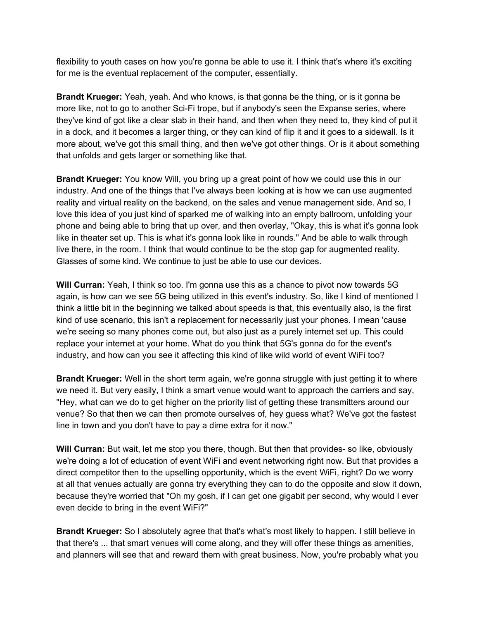flexibility to youth cases on how you're gonna be able to use it. I think that's where it's exciting for me is the eventual replacement of the computer, essentially.

**Brandt Krueger:** Yeah, yeah. And who knows, is that gonna be the thing, or is it gonna be more like, not to go to another Sci-Fi trope, but if anybody's seen the Expanse series, where they've kind of got like a clear slab in their hand, and then when they need to, they kind of put it in a dock, and it becomes a larger thing, or they can kind of flip it and it goes to a sidewall. Is it more about, we've got this small thing, and then we've got other things. Or is it about something that unfolds and gets larger or something like that.

**Brandt Krueger:** You know Will, you bring up a great point of how we could use this in our industry. And one of the things that I've always been looking at is how we can use augmented reality and virtual reality on the backend, on the sales and venue management side. And so, I love this idea of you just kind of sparked me of walking into an empty ballroom, unfolding your phone and being able to bring that up over, and then overlay, "Okay, this is what it's gonna look like in theater set up. This is what it's gonna look like in rounds." And be able to walk through live there, in the room. I think that would continue to be the stop gap for augmented reality. Glasses of some kind. We continue to just be able to use our devices.

**Will Curran:** Yeah, I think so too. I'm gonna use this as a chance to pivot now towards 5G again, is how can we see 5G being utilized in this event's industry. So, like I kind of mentioned I think a little bit in the beginning we talked about speeds is that, this eventually also, is the first kind of use scenario, this isn't a replacement for necessarily just your phones. I mean 'cause we're seeing so many phones come out, but also just as a purely internet set up. This could replace your internet at your home. What do you think that 5G's gonna do for the event's industry, and how can you see it affecting this kind of like wild world of event WiFi too?

**Brandt Krueger:** Well in the short term again, we're gonna struggle with just getting it to where we need it. But very easily, I think a smart venue would want to approach the carriers and say, "Hey, what can we do to get higher on the priority list of getting these transmitters around our venue? So that then we can then promote ourselves of, hey guess what? We've got the fastest line in town and you don't have to pay a dime extra for it now."

**Will Curran:** But wait, let me stop you there, though. But then that provides- so like, obviously we're doing a lot of education of event WiFi and event networking right now. But that provides a direct competitor then to the upselling opportunity, which is the event WiFi, right? Do we worry at all that venues actually are gonna try everything they can to do the opposite and slow it down, because they're worried that "Oh my gosh, if I can get one gigabit per second, why would I ever even decide to bring in the event WiFi?"

**Brandt Krueger:** So I absolutely agree that that's what's most likely to happen. I still believe in that there's ... that smart venues will come along, and they will offer these things as amenities, and planners will see that and reward them with great business. Now, you're probably what you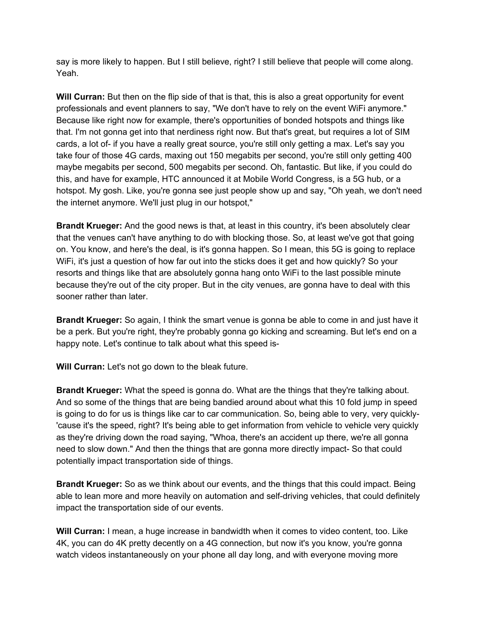say is more likely to happen. But I still believe, right? I still believe that people will come along. Yeah.

**Will Curran:** But then on the flip side of that is that, this is also a great opportunity for event professionals and event planners to say, "We don't have to rely on the event WiFi anymore." Because like right now for example, there's opportunities of bonded hotspots and things like that. I'm not gonna get into that nerdiness right now. But that's great, but requires a lot of SIM cards, a lot of- if you have a really great source, you're still only getting a max. Let's say you take four of those 4G cards, maxing out 150 megabits per second, you're still only getting 400 maybe megabits per second, 500 megabits per second. Oh, fantastic. But like, if you could do this, and have for example, HTC announced it at Mobile World Congress, is a 5G hub, or a hotspot. My gosh. Like, you're gonna see just people show up and say, "Oh yeah, we don't need the internet anymore. We'll just plug in our hotspot,"

**Brandt Krueger:** And the good news is that, at least in this country, it's been absolutely clear that the venues can't have anything to do with blocking those. So, at least we've got that going on. You know, and here's the deal, is it's gonna happen. So I mean, this 5G is going to replace WiFi, it's just a question of how far out into the sticks does it get and how quickly? So your resorts and things like that are absolutely gonna hang onto WiFi to the last possible minute because they're out of the city proper. But in the city venues, are gonna have to deal with this sooner rather than later.

**Brandt Krueger:** So again, I think the smart venue is gonna be able to come in and just have it be a perk. But you're right, they're probably gonna go kicking and screaming. But let's end on a happy note. Let's continue to talk about what this speed is-

**Will Curran:** Let's not go down to the bleak future.

**Brandt Krueger:** What the speed is gonna do. What are the things that they're talking about. And so some of the things that are being bandied around about what this 10 fold jump in speed is going to do for us is things like car to car communication. So, being able to very, very quickly- 'cause it's the speed, right? It's being able to get information from vehicle to vehicle very quickly as they're driving down the road saying, "Whoa, there's an accident up there, we're all gonna need to slow down." And then the things that are gonna more directly impact- So that could potentially impact transportation side of things.

**Brandt Krueger:** So as we think about our events, and the things that this could impact. Being able to lean more and more heavily on automation and self-driving vehicles, that could definitely impact the transportation side of our events.

**Will Curran:** I mean, a huge increase in bandwidth when it comes to video content, too. Like 4K, you can do 4K pretty decently on a 4G connection, but now it's you know, you're gonna watch videos instantaneously on your phone all day long, and with everyone moving more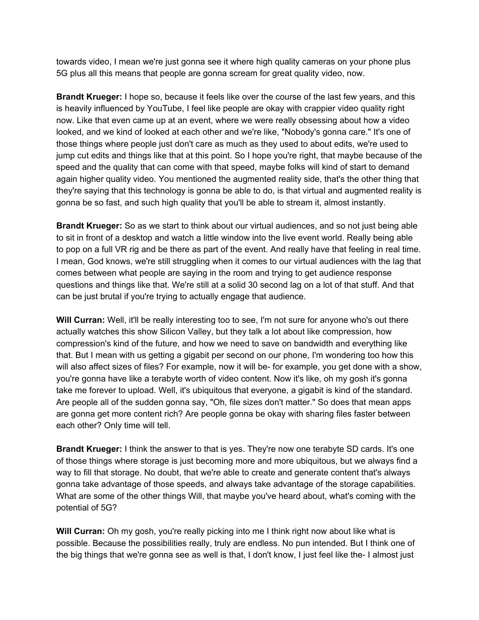towards video, I mean we're just gonna see it where high quality cameras on your phone plus 5G plus all this means that people are gonna scream for great quality video, now.

**Brandt Krueger:** I hope so, because it feels like over the course of the last few years, and this is heavily influenced by YouTube, I feel like people are okay with crappier video quality right now. Like that even came up at an event, where we were really obsessing about how a video looked, and we kind of looked at each other and we're like, "Nobody's gonna care." It's one of those things where people just don't care as much as they used to about edits, we're used to jump cut edits and things like that at this point. So I hope you're right, that maybe because of the speed and the quality that can come with that speed, maybe folks will kind of start to demand again higher quality video. You mentioned the augmented reality side, that's the other thing that they're saying that this technology is gonna be able to do, is that virtual and augmented reality is gonna be so fast, and such high quality that you'll be able to stream it, almost instantly.

**Brandt Krueger:** So as we start to think about our virtual audiences, and so not just being able to sit in front of a desktop and watch a little window into the live event world. Really being able to pop on a full VR rig and be there as part of the event. And really have that feeling in real time. I mean, God knows, we're still struggling when it comes to our virtual audiences with the lag that comes between what people are saying in the room and trying to get audience response questions and things like that. We're still at a solid 30 second lag on a lot of that stuff. And that can be just brutal if you're trying to actually engage that audience.

**Will Curran:** Well, it'll be really interesting too to see, I'm not sure for anyone who's out there actually watches this show Silicon Valley, but they talk a lot about like compression, how compression's kind of the future, and how we need to save on bandwidth and everything like that. But I mean with us getting a gigabit per second on our phone, I'm wondering too how this will also affect sizes of files? For example, now it will be- for example, you get done with a show, you're gonna have like a terabyte worth of video content. Now it's like, oh my gosh it's gonna take me forever to upload. Well, it's ubiquitous that everyone, a gigabit is kind of the standard. Are people all of the sudden gonna say, "Oh, file sizes don't matter." So does that mean apps are gonna get more content rich? Are people gonna be okay with sharing files faster between each other? Only time will tell.

**Brandt Krueger:** I think the answer to that is yes. They're now one terabyte SD cards. It's one of those things where storage is just becoming more and more ubiquitous, but we always find a way to fill that storage. No doubt, that we're able to create and generate content that's always gonna take advantage of those speeds, and always take advantage of the storage capabilities. What are some of the other things Will, that maybe you've heard about, what's coming with the potential of 5G?

**Will Curran:** Oh my gosh, you're really picking into me I think right now about like what is possible. Because the possibilities really, truly are endless. No pun intended. But I think one of the big things that we're gonna see as well is that, I don't know, I just feel like the- I almost just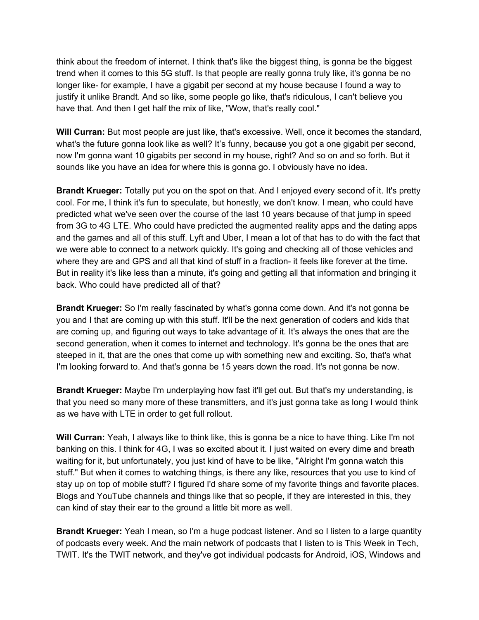think about the freedom of internet. I think that's like the biggest thing, is gonna be the biggest trend when it comes to this 5G stuff. Is that people are really gonna truly like, it's gonna be no longer like- for example, I have a gigabit per second at my house because I found a way to justify it unlike Brandt. And so like, some people go like, that's ridiculous, I can't believe you have that. And then I get half the mix of like, "Wow, that's really cool."

**Will Curran:** But most people are just like, that's excessive. Well, once it becomes the standard, what's the future gonna look like as well? It's funny, because you got a one gigabit per second, now I'm gonna want 10 gigabits per second in my house, right? And so on and so forth. But it sounds like you have an idea for where this is gonna go. I obviously have no idea.

**Brandt Krueger:** Totally put you on the spot on that. And I enjoyed every second of it. It's pretty cool. For me, I think it's fun to speculate, but honestly, we don't know. I mean, who could have predicted what we've seen over the course of the last 10 years because of that jump in speed from 3G to 4G LTE. Who could have predicted the augmented reality apps and the dating apps and the games and all of this stuff. Lyft and Uber, I mean a lot of that has to do with the fact that we were able to connect to a network quickly. It's going and checking all of those vehicles and where they are and GPS and all that kind of stuff in a fraction- it feels like forever at the time. But in reality it's like less than a minute, it's going and getting all that information and bringing it back. Who could have predicted all of that?

**Brandt Krueger:** So I'm really fascinated by what's gonna come down. And it's not gonna be you and I that are coming up with this stuff. It'll be the next generation of coders and kids that are coming up, and figuring out ways to take advantage of it. It's always the ones that are the second generation, when it comes to internet and technology. It's gonna be the ones that are steeped in it, that are the ones that come up with something new and exciting. So, that's what I'm looking forward to. And that's gonna be 15 years down the road. It's not gonna be now.

**Brandt Krueger:** Maybe I'm underplaying how fast it'll get out. But that's my understanding, is that you need so many more of these transmitters, and it's just gonna take as long I would think as we have with LTE in order to get full rollout.

**Will Curran:** Yeah, I always like to think like, this is gonna be a nice to have thing. Like I'm not banking on this. I think for 4G, I was so excited about it. I just waited on every dime and breath waiting for it, but unfortunately, you just kind of have to be like, "Alright I'm gonna watch this stuff." But when it comes to watching things, is there any like, resources that you use to kind of stay up on top of mobile stuff? I figured I'd share some of my favorite things and favorite places. Blogs and YouTube channels and things like that so people, if they are interested in this, they can kind of stay their ear to the ground a little bit more as well.

**Brandt Krueger:** Yeah I mean, so I'm a huge podcast listener. And so I listen to a large quantity of podcasts every week. And the main network of podcasts that I listen to is This Week in Tech, TWIT. It's the TWIT network, and they've got individual podcasts for Android, iOS, Windows and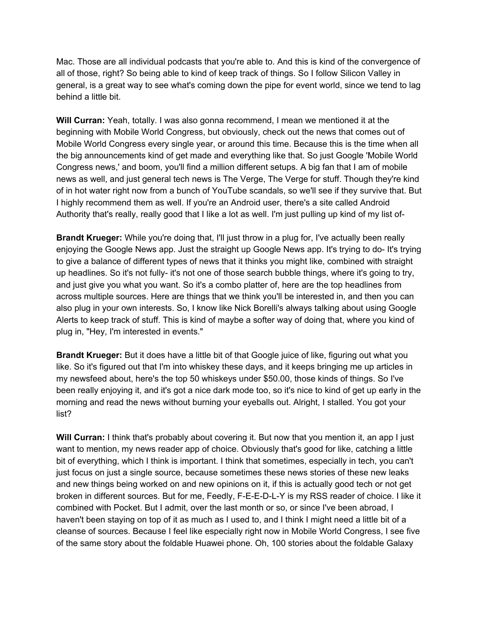Mac. Those are all individual podcasts that you're able to. And this is kind of the convergence of all of those, right? So being able to kind of keep track of things. So I follow Silicon Valley in general, is a great way to see what's coming down the pipe for event world, since we tend to lag behind a little bit.

**Will Curran:** Yeah, totally. I was also gonna recommend, I mean we mentioned it at the beginning with Mobile World Congress, but obviously, check out the news that comes out of Mobile World Congress every single year, or around this time. Because this is the time when all the big announcements kind of get made and everything like that. So just Google 'Mobile World Congress news,' and boom, you'll find a million different setups. A big fan that I am of mobile news as well, and just general tech news is The Verge, The Verge for stuff. Though they're kind of in hot water right now from a bunch of YouTube scandals, so we'll see if they survive that. But I highly recommend them as well. If you're an Android user, there's a site called Android Authority that's really, really good that I like a lot as well. I'm just pulling up kind of my list of-

**Brandt Krueger:** While you're doing that, I'll just throw in a plug for, I've actually been really enjoying the Google News app. Just the straight up Google News app. It's trying to do- It's trying to give a balance of different types of news that it thinks you might like, combined with straight up headlines. So it's not fully- it's not one of those search bubble things, where it's going to try, and just give you what you want. So it's a combo platter of, here are the top headlines from across multiple sources. Here are things that we think you'll be interested in, and then you can also plug in your own interests. So, I know like Nick Borelli's always talking about using Google Alerts to keep track of stuff. This is kind of maybe a softer way of doing that, where you kind of plug in, "Hey, I'm interested in events."

**Brandt Krueger:** But it does have a little bit of that Google juice of like, figuring out what you like. So it's figured out that I'm into whiskey these days, and it keeps bringing me up articles in my newsfeed about, here's the top 50 whiskeys under \$50.00, those kinds of things. So I've been really enjoying it, and it's got a nice dark mode too, so it's nice to kind of get up early in the morning and read the news without burning your eyeballs out. Alright, I stalled. You got your list?

**Will Curran:** I think that's probably about covering it. But now that you mention it, an app I just want to mention, my news reader app of choice. Obviously that's good for like, catching a little bit of everything, which I think is important. I think that sometimes, especially in tech, you can't just focus on just a single source, because sometimes these news stories of these new leaks and new things being worked on and new opinions on it, if this is actually good tech or not get broken in different sources. But for me, Feedly, F-E-E-D-L-Y is my RSS reader of choice. I like it combined with Pocket. But I admit, over the last month or so, or since I've been abroad, I haven't been staying on top of it as much as I used to, and I think I might need a little bit of a cleanse of sources. Because I feel like especially right now in Mobile World Congress, I see five of the same story about the foldable Huawei phone. Oh, 100 stories about the foldable Galaxy